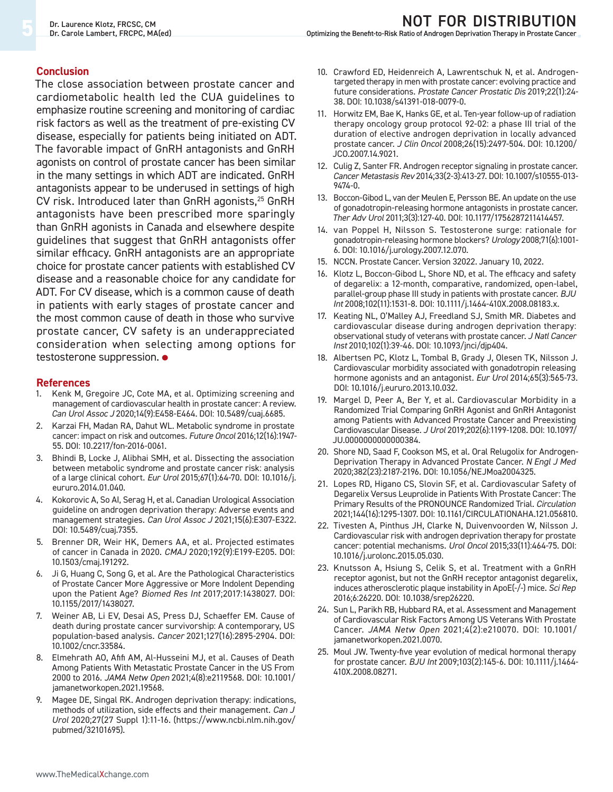### **Conclusion**

The close association between prostate cancer and cardiometabolic health led the CUA guidelines to emphasize routine screening and monitoring of cardiac risk factors as well as the treatment of pre-existing CV disease, especially for patients being initiated on ADT. The favorable impact of GnRH antagonists and GnRH agonists on control of prostate cancer has been similar in the many settings in which ADT are indicated. GnRH antagonists appear to be underused in settings of high CV risk. Introduced later than GnRH agonists, $25$  GnRH antagonists have been prescribed more sparingly than GnRH agonists in Canada and elsewhere despite guidelines that suggest that GnRH antagonists offer similar efficacy. GnRH antagonists are an appropriate choice for prostate cancer patients with established CV disease and a reasonable choice for any candidate for ADT. For CV disease, which is a common cause of death in patients with early stages of prostate cancer and the most common cause of death in those who survive prostate cancer, CV safety is an underappreciated consideration when selecting among options for testosterone suppression. **•**

#### **References**

- 1. Kenk M, Gregoire JC, Cote MA, et al. Optimizing screening and management of cardiovascular health in prostate cancer: A review. *Can Urol Assoc J* 2020;14(9):E458-E464. DOI: 10.5489/cuaj.6685.
- 2. Karzai FH, Madan RA, Dahut WL. Metabolic syndrome in prostate cancer: impact on risk and outcomes. *Future Oncol* 2016;12(16):1947- 55. DOI: 10.2217/fon-2016-0061.
- Bhindi B, Locke J, Alibhai SMH, et al. Dissecting the association between metabolic syndrome and prostate cancer risk: analysis of a large clinical cohort. *Eur Urol* 2015;67(1):64-70. DOI: 10.1016/j. eururo.2014.01.040.
- 4. Kokorovic A, So AI, Serag H, et al. Canadian Urological Association guideline on androgen deprivation therapy: Adverse events and management strategies. *Can Urol Assoc J* 2021;15(6):E307-E322. DOI: 10.5489/cuaj.7355.
- 5. Brenner DR, Weir HK, Demers AA, et al. Projected estimates of cancer in Canada in 2020. *CMAJ* 2020;192(9):E199-E205. DOI: 10.1503/cmaj.191292.
- 6. Ji G, Huang C, Song G, et al. Are the Pathological Characteristics of Prostate Cancer More Aggressive or More Indolent Depending upon the Patient Age? *Biomed Res Int* 2017;2017:1438027. DOI: 10.1155/2017/1438027.
- 7. Weiner AB, Li EV, Desai AS, Press DJ, Schaeffer EM. Cause of death during prostate cancer survivorship: A contemporary, US population-based analysis. *Cancer* 2021;127(16):2895-2904. DOI: 10.1002/cncr.33584.
- 8. Elmehrath AO, Afifi AM, Al-Husseini MJ, et al. Causes of Death Among Patients With Metastatic Prostate Cancer in the US From 2000 to 2016. *JAMA Netw Open* 2021;4(8):e2119568. DOI: 10.1001/ jamanetworkopen.2021.19568.
- 9. Magee DE, Singal RK. Androgen deprivation therapy: indications, methods of utilization, side effects and their management. *Can J Urol* 2020;27(27 Suppl 1):11-16. (https://www.ncbi.nlm.nih.gov/ pubmed/32101695).
- 10. Crawford ED, Heidenreich A, Lawrentschuk N, et al. Androgentargeted therapy in men with prostate cancer: evolving practice and future considerations. *Prostate Cancer Prostatic Dis* 2019;22(1):24- 38. DOI: 10.1038/s41391-018-0079-0.
- 11. Horwitz EM, Bae K, Hanks GE, et al. Ten-year follow-up of radiation therapy oncology group protocol 92-02: a phase III trial of the duration of elective androgen deprivation in locally advanced prostate cancer. *J Clin Oncol* 2008;26(15):2497-504. DOI: 10.1200/ JCO.2007.14.9021.
- 12. Culig Z, Santer FR. Androgen receptor signaling in prostate cancer. *Cancer Metastasis Rev* 2014;33(2-3):413-27. DOI: 10.1007/s10555-013- 9474-0.
- 13. Boccon-Gibod L, van der Meulen E, Persson BE. An update on the use of gonadotropin-releasing hormone antagonists in prostate cancer. *Ther Adv Urol* 2011;3(3):127-40. DOI: 10.1177/1756287211414457.
- 14. van Poppel H, Nilsson S. Testosterone surge: rationale for gonadotropin-releasing hormone blockers? *Urology* 2008;71(6):1001- 6. DOI: 10.1016/j.urology.2007.12.070.
- 15. NCCN. Prostate Cancer. Version 32022. January 10, 2022.
- 16. Klotz L, Boccon-Gibod L, Shore ND, et al. The efficacy and safety of degarelix: a 12-month, comparative, randomized, open-label, parallel-group phase III study in patients with prostate cancer. *BJU Int* 2008;102(11):1531-8. DOI: 10.1111/j.1464-410X.2008.08183.x.
- 17. Keating NL, O'Malley AJ, Freedland SJ, Smith MR. Diabetes and cardiovascular disease during androgen deprivation therapy: observational study of veterans with prostate cancer. *J Natl Cancer Inst* 2010;102(1):39-46. DOI: 10.1093/jnci/djp404.
- 18. Albertsen PC, Klotz L, Tombal B, Grady J, Olesen TK, Nilsson J. Cardiovascular morbidity associated with gonadotropin releasing hormone agonists and an antagonist. *Eur Urol* 2014;65(3):565-73. DOI: 10.1016/j.eururo.2013.10.032.
- 19. Margel D, Peer A, Ber Y, et al. Cardiovascular Morbidity in a Randomized Trial Comparing GnRH Agonist and GnRH Antagonist among Patients with Advanced Prostate Cancer and Preexisting Cardiovascular Disease. *J Urol* 2019;202(6):1199-1208. DOI: 10.1097/ JU.0000000000000384.
- 20. Shore ND, Saad F, Cookson MS, et al. Oral Relugolix for Androgen-Deprivation Therapy in Advanced Prostate Cancer. *N Engl J Med* 2020;382(23):2187-2196. DOI: 10.1056/NEJMoa2004325.
- 21. Lopes RD, Higano CS, Slovin SF, et al. Cardiovascular Safety of Degarelix Versus Leuprolide in Patients With Prostate Cancer: The Primary Results of the PRONOUNCE Randomized Trial. *Circulation* 2021;144(16):1295-1307. DOI: 10.1161/CIRCULATIONAHA.121.056810.
- 22. Tivesten A, Pinthus JH, Clarke N, Duivenvoorden W, Nilsson J. Cardiovascular risk with androgen deprivation therapy for prostate cancer: potential mechanisms. *Urol Oncol* 2015;33(11):464-75. DOI: 10.1016/j.urolonc.2015.05.030.
- 23. Knutsson A, Hsiung S, Celik S, et al. Treatment with a GnRH receptor agonist, but not the GnRH receptor antagonist degarelix, induces atherosclerotic plaque instability in ApoE(-/-) mice. *Sci Rep* 2016;6:26220. DOI: 10.1038/srep26220.
- 24. Sun L, Parikh RB, Hubbard RA, et al. Assessment and Management of Cardiovascular Risk Factors Among US Veterans With Prostate Cancer. *JAMA Netw Open* 2021;4(2):e210070. DOI: 10.1001/ jamanetworkopen.2021.0070.
- 25. Moul JW. Twenty-five year evolution of medical hormonal therapy for prostate cancer. *BJU Int* 2009;103(2):145-6. DOI: 10.1111/j.1464- 410X.2008.08271.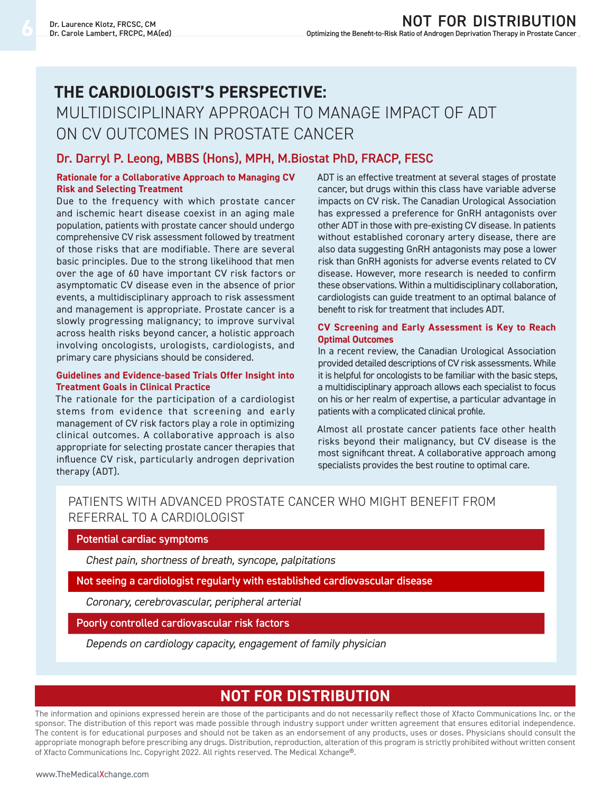# **The Cardiologist's Perspective:**  Multidisciplinary Approach to Manage Impact of ADT on CV Outcomes in Prostate Cancer

## **Dr. Darryl P. Leong, MBBS (Hons), MPH, M.Biostat PhD, FRACP, FESC**

### **Rationale for a Collaborative Approach to Managing CV Risk and Selecting Treatment**

Due to the frequency with which prostate cancer and ischemic heart disease coexist in an aging male population, patients with prostate cancer should undergo comprehensive CV risk assessment followed by treatment of those risks that are modifiable. There are several basic principles. Due to the strong likelihood that men over the age of 60 have important CV risk factors or asymptomatic CV disease even in the absence of prior events, a multidisciplinary approach to risk assessment and management is appropriate. Prostate cancer is a slowly progressing malignancy; to improve survival across health risks beyond cancer, a holistic approach involving oncologists, urologists, cardiologists, and primary care physicians should be considered.

## **Guidelines and Evidence-based Trials Offer Insight into Treatment Goals in Clinical Practice**

The rationale for the participation of a cardiologist stems from evidence that screening and early management of CV risk factors play a role in optimizing clinical outcomes. A collaborative approach is also appropriate for selecting prostate cancer therapies that influence CV risk, particularly androgen deprivation therapy (ADT).

ADT is an effective treatment at several stages of prostate cancer, but drugs within this class have variable adverse impacts on CV risk. The Canadian Urological Association has expressed a preference for GnRH antagonists over other ADT in those with pre-existing CV disease. In patients without established coronary artery disease, there are also data suggesting GnRH antagonists may pose a lower risk than GnRH agonists for adverse events related to CV disease. However, more research is needed to confirm these observations. Within a multidisciplinary collaboration, cardiologists can guide treatment to an optimal balance of benefit to risk for treatment that includes ADT.

#### **CV Screening and Early Assessment is Key to Reach Optimal Outcomes**

In a recent review, the Canadian Urological Association provided detailed descriptions of CV risk assessments. While it is helpful for oncologists to be familiar with the basic steps, a multidisciplinary approach allows each specialist to focus on his or her realm of expertise, a particular advantage in patients with a complicated clinical profile.

Almost all prostate cancer patients face other health risks beyond their malignancy, but CV disease is the most significant threat. A collaborative approach among specialists provides the best routine to optimal care.

## Patients with Advanced Prostate Cancer Who Might Benefit from Referral to a Cardiologist

## **Potential cardiac symptoms**

*Chest pain, shortness of breath, syncope, palpitations*

**Not seeing a cardiologist regularly with established cardiovascular disease**

*Coronary, cerebrovascular, peripheral arterial*

**Poorly controlled cardiovascular risk factors**

*Depends on cardiology capacity, engagement of family physician*

## **ne pas distribuer Not for distribution**

The information and opinions expressed herein are those of the participants and do not necessarily reflect those of Xfacto Communications Inc. or the sponsor. The distribution of this report was made possible through industry support under written agreement that ensures editorial independence. The content is for educational purposes and should not be taken as an endorsement of any products, uses or doses. Physicians should consult the appropriate monograph before prescribing any drugs. Distribution, reproduction, alteration of this program is strictly prohibited without written consent of Xfacto Communications Inc. Copyright 2022. All rights reserved. The Medical Xchange®.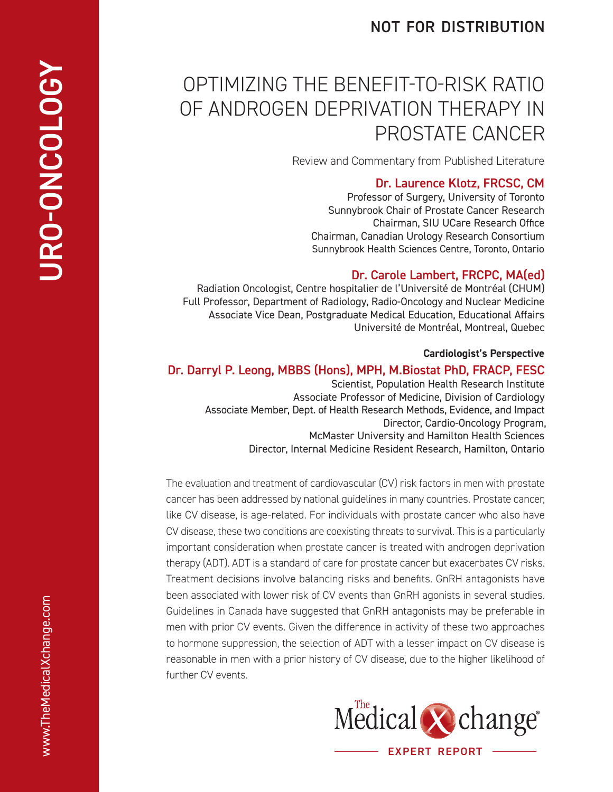## **not for distribution**

# Optimizing the Benefit-t o-Risk Rati o of Androgen Depri vation Therapy in Prostate Cancer

Review and Commentary from Published Literature

## **Dr. Laurence Klotz, FRCSC, CM**

Professor of Surgery, University of Toronto Sunnybrook Chair of Prostate Cancer Research Chairman, SIU UCare Research Office Chairman, Canadian Urology Research Consortium Sunnybrook Health Sciences Centre, Toronto, Ontario

## **Dr. Carole Lambert, FRCPC, MA(ed)**

Radiation Oncologist, Centre hospitalier de l'Université de Montréal (CHUM) Full Professor, Department of Radiology, Radio-Oncology and Nuclear Medicine Associate Vice Dean, Postgraduate Medical Education, Educational Affairs Université de Montréal, Montreal, Quebec

## **Cardiologist's Perspective**

## **Dr. Darryl P. Leong, MBBS (Hons), MPH, M.Biostat PhD, FRACP, FESC**

Scientist, Population Health Research Institute Associate Professor of Medicine, Division of Cardiology Associate Member, Dept. of Health Research Methods, Evidence, and Impact Director, Cardio-Oncology Program, McMaster University and Hamilton Health Sciences Director, Internal Medicine Resident Research, Hamilton, Ontario

The evaluation and treatment of cardiovascular ( CV) risk factors in men with prostate cancer has been addressed by national guidelines in many countries. Prostate cancer, like CV disease, is age-related. For individuals with prostate cancer who also have CV disease, these two conditions are coexisting threats to survival. This is a particularly important consideration when prostate cancer is treated with androgen deprivation therapy (ADT). ADT is a standard of care for prostate cancer but exacerbates CV risks. Treatment decisions involve balancing risks and benefits. GnR H antagonists have been associated with lower risk of CV events than GnRH agonists in several studies. Guidelines in Canada have suggested that GnRH antagonists may be preferable in men with prior CV events. Given the difference in activity of these two approaches to hormone suppression, the selection of ADT with a lesser impact on CV disease is reasonable in men with a prior history of CV disease, due to the higher likelihood of further CV events.



**URO-ONCOLOGY URO-ONCOLOGY**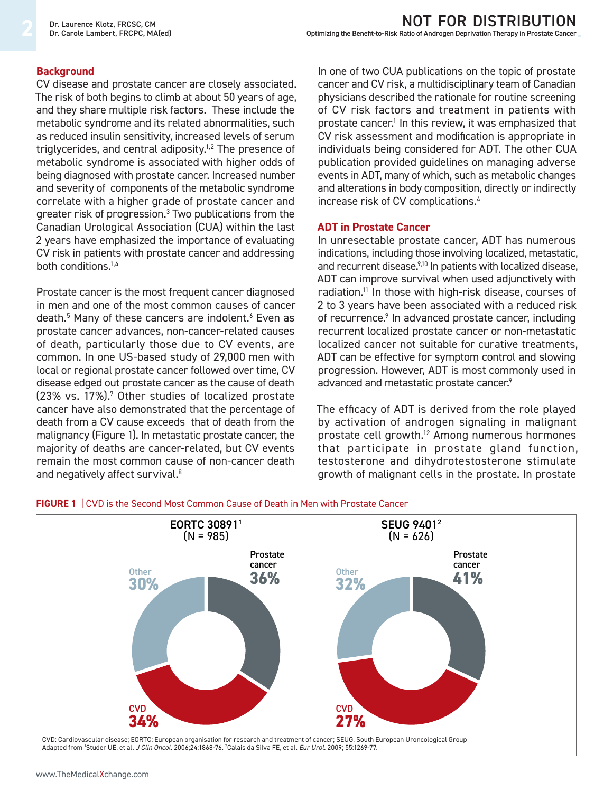## **Background**

CV disease and prostate cancer are closely associated. The risk of both begins to climb at about 50 years of age, and they share multiple risk factors. These include the metabolic syndrome and its related abnormalities, such as reduced insulin sensitivity, increased levels of serum triglycerides, and central adiposity.<sup>1,2</sup> The presence of metabolic syndrome is associated with higher odds of being diagnosed with prostate cancer. Increased number and severity of components of the metabolic syndrome correlate with a higher grade of prostate cancer and greater risk of progression.3 Two publications from the Canadian Urological Association (CUA) within the last 2 years have emphasized the importance of evaluating CV risk in patients with prostate cancer and addressing both conditions.1,4

Prostate cancer is the most frequent cancer diagnosed in men and one of the most common causes of cancer death.<sup>5</sup> Many of these cancers are indolent.<sup>6</sup> Even as prostate cancer advances, non-cancer-related causes of death, particularly those due to CV events, are common. In one US-based study of 29,000 men with local or regional prostate cancer followed over time, CV disease edged out prostate cancer as the cause of death (23% vs. 17%).<sup>7</sup> Other studies of localized prostate cancer have also demonstrated that the percentage of death from a CV cause exceeds that of death from the malignancy (Figure 1). In metastatic prostate cancer, the majority of deaths are cancer-related, but CV events remain the most common cause of non-cancer death and negatively affect survival.<sup>8</sup>

In one of two CUA publications on the topic of prostate cancer and CV risk, a multidisciplinary team of Canadian physicians described the rationale for routine screening of CV risk factors and treatment in patients with prostate cancer.<sup>1</sup> In this review, it was emphasized that CV risk assessment and modification is appropriate in individuals being considered for ADT. The other CUA publication provided guidelines on managing adverse events in ADT, many of which, such as metabolic changes and alterations in body composition, directly or indirectly increase risk of CV complications.4

## **ADT in Prostate Cancer**

In unresectable prostate cancer, ADT has numerous indications, including those involving localized, metastatic, and recurrent disease.<sup>9,10</sup> In patients with localized disease, ADT can improve survival when used adjunctively with radiation.11 In those with high-risk disease, courses of 2 to 3 years have been associated with a reduced risk of recurrence.<sup>9</sup> In advanced prostate cancer, including recurrent localized prostate cancer or non-metastatic localized cancer not suitable for curative treatments, ADT can be effective for symptom control and slowing progression. However, ADT is most commonly used in advanced and metastatic prostate cancer.<sup>9</sup>

The efficacy of ADT is derived from the role played by activation of androgen signaling in malignant prostate cell growth.12 Among numerous hormones that participate in prostate gland function, testosterone and dihydrotestosterone stimulate growth of malignant cells in the prostate. In prostate



## **FIGURE 1** | CVD is the Second Most Common Cause of Death in Men with Prostate Cancer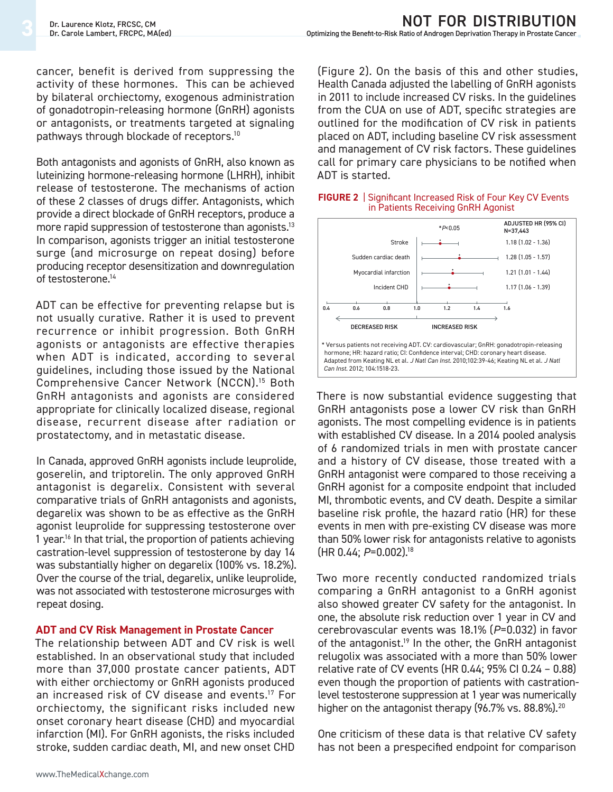cancer, benefit is derived from suppressing the activity of these hormones. This can be achieved by bilateral orchiectomy, exogenous administration of gonadotropin-releasing hormone (GnRH) agonists or antagonists, or treatments targeted at signaling pathways through blockade of receptors.<sup>10</sup>

Both antagonists and agonists of GnRH, also known as luteinizing hormone-releasing hormone (LHRH), inhibit release of testosterone. The mechanisms of action of these 2 classes of drugs differ. Antagonists, which provide a direct blockade of GnRH receptors, produce a more rapid suppression of testosterone than agonists.<sup>13</sup> In comparison, agonists trigger an initial testosterone surge (and microsurge on repeat dosing) before producing receptor desensitization and downregulation of testosterone.<sup>14</sup>

ADT can be effective for preventing relapse but is not usually curative. Rather it is used to prevent recurrence or inhibit progression. Both GnRH agonists or antagonists are effective therapies when ADT is indicated, according to several guidelines, including those issued by the National Comprehensive Cancer Network (NCCN).15 Both GnRH antagonists and agonists are considered appropriate for clinically localized disease, regional disease, recurrent disease after radiation or prostatectomy, and in metastatic disease.

In Canada, approved GnRH agonists include leuprolide, goserelin, and triptorelin. The only approved GnRH antagonist is degarelix. Consistent with several comparative trials of GnRH antagonists and agonists, degarelix was shown to be as effective as the GnRH agonist leuprolide for suppressing testosterone over 1 year.<sup>16</sup> In that trial, the proportion of patients achieving castration-level suppression of testosterone by day 14 was substantially higher on degarelix (100% vs. 18.2%). Over the course of the trial, degarelix, unlike leuprolide, was not associated with testosterone microsurges with repeat dosing.

## **ADT and CV Risk Management in Prostate Cancer**

The relationship between ADT and CV risk is well established. In an observational study that included more than 37,000 prostate cancer patients, ADT with either orchiectomy or GnRH agonists produced an increased risk of CV disease and events.17 For orchiectomy, the significant risks included new onset coronary heart disease (CHD) and myocardial infarction (MI). For GnRH agonists, the risks included stroke, sudden cardiac death, MI, and new onset CHD

(Figure 2). On the basis of this and other studies, Health Canada adjusted the labelling of GnRH agonists in 2011 to include increased CV risks. In the guidelines from the CUA on use of ADT, specific strategies are outlined for the modification of CV risk in patients placed on ADT, including baseline CV risk assessment and management of CV risk factors. These guidelines call for primary care physicians to be notified when ADT is started.



#### **FIGURE 2** | Significant Increased Risk of Four Key CV Events in Patients Receiving GnRH Agonist

There is now substantial evidence suggesting that GnRH antagonists pose a lower CV risk than GnRH agonists. The most compelling evidence is in patients with established CV disease. In a 2014 pooled analysis of 6 randomized trials in men with prostate cancer and a history of CV disease, those treated with a GnRH antagonist were compared to those receiving a GnRH agonist for a composite endpoint that included MI, thrombotic events, and CV death. Despite a similar baseline risk profile, the hazard ratio (HR) for these events in men with pre-existing CV disease was more than 50% lower risk for antagonists relative to agonists (HR 0.44; *P*=0.002).18

Two more recently conducted randomized trials comparing a GnRH antagonist to a GnRH agonist also showed greater CV safety for the antagonist. In one, the absolute risk reduction over 1 year in CV and cerebrovascular events was 18.1% (*P*=0.032) in favor of the antagonist.<sup>19</sup> In the other, the GnRH antagonist relugolix was associated with a more than 50% lower relative rate of CV events (HR 0.44; 95% CI 0.24 – 0.88) even though the proportion of patients with castrationlevel testosterone suppression at 1 year was numerically higher on the antagonist therapy  $(96.7\% \text{ vs. } 88.8\%).^{20}$ 

One criticism of these data is that relative CV safety has not been a prespecified endpoint for comparison